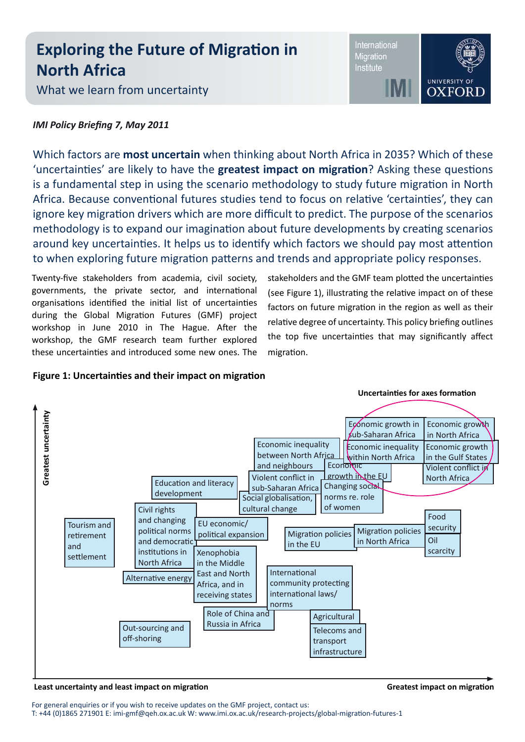# **Exploring the Future of Migration in North Africa**

What we learn from uncertainty

## International Migration Institute

**UNIVERSITY OF OXFORE** 

# *IMI Policy Briefing 7, May 2011*

Which factors are **most uncertain** when thinking about North Africa in 2035? Which of these 'uncertainties' are likely to have the **greatest impact on migration**? Asking these questions is a fundamental step in using the scenario methodology to study future migration in North Africa. Because conventional futures studies tend to focus on relative 'certainties', they can ignore key migration drivers which are more difficult to predict. The purpose of the scenarios methodology is to expand our imagination about future developments by creating scenarios around key uncertainties. It helps us to identify which factors we should pay most attention to when exploring future migration patterns and trends and appropriate policy responses.

Twenty-five stakeholders from academia, civil society, governments, the private sector, and international organisations identified the initial list of uncertainties during the Global Migration Futures (GMF) project workshop in June 2010 in The Hague. After the workshop, the GMF research team further explored these uncertainties and introduced some new ones. The

stakeholders and the GMF team plotted the uncertainties (see Figure 1), illustrating the relative impact on of these factors on future migration in the region as well as their relative degree of uncertainty. This policy briefing outlines the top five uncertainties that may significantly affect migration.